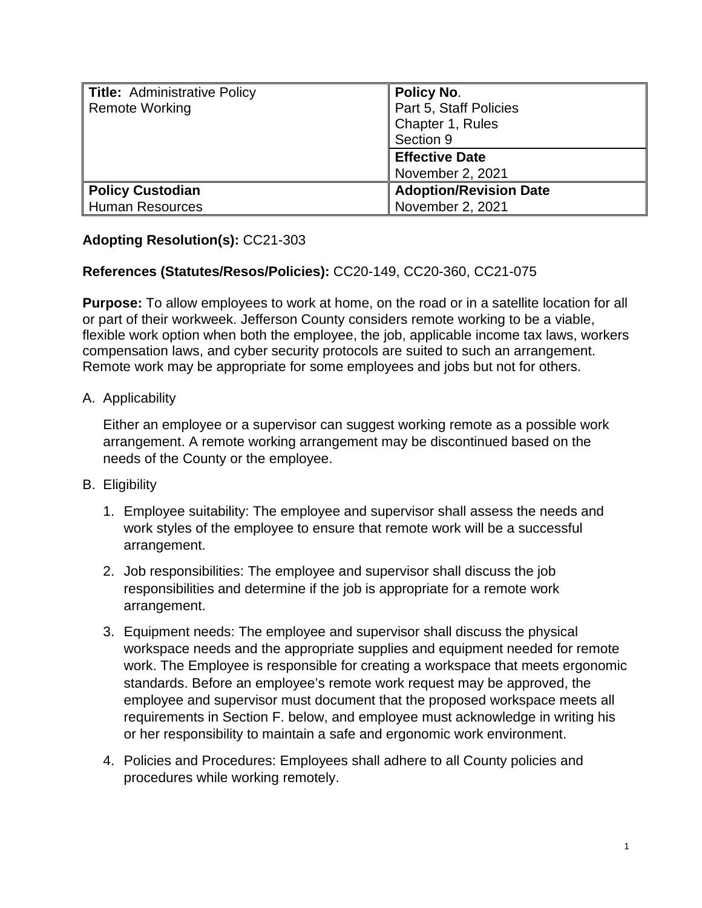| <b>Title: Administrative Policy</b><br><b>Remote Working</b> | <b>Policy No.</b><br>Part 5, Staff Policies<br>Chapter 1, Rules<br>Section 9 |
|--------------------------------------------------------------|------------------------------------------------------------------------------|
|                                                              | <b>Effective Date</b><br>November 2, 2021                                    |
| <b>Policy Custodian</b><br><b>Human Resources</b>            | <b>Adoption/Revision Date</b><br>November 2, 2021                            |

# **Adopting Resolution(s):** CC21-303

### **References (Statutes/Resos/Policies):** CC20-149, CC20-360, CC21-075

**Purpose:** To allow employees to work at home, on the road or in a satellite location for all or part of their workweek. Jefferson County considers remote working to be a viable, flexible work option when both the employee, the job, applicable income tax laws, workers compensation laws, and cyber security protocols are suited to such an arrangement. Remote work may be appropriate for some employees and jobs but not for others.

#### A. Applicability

Either an employee or a supervisor can suggest working remote as a possible work arrangement. A remote working arrangement may be discontinued based on the needs of the County or the employee.

#### B. Eligibility

- 1. Employee suitability: The employee and supervisor shall assess the needs and work styles of the employee to ensure that remote work will be a successful arrangement.
- 2. Job responsibilities: The employee and supervisor shall discuss the job responsibilities and determine if the job is appropriate for a remote work arrangement.
- 3. Equipment needs: The employee and supervisor shall discuss the physical workspace needs and the appropriate supplies and equipment needed for remote work. The Employee is responsible for creating a workspace that meets ergonomic standards. Before an employee's remote work request may be approved, the employee and supervisor must document that the proposed workspace meets all requirements in Section F. below, and employee must acknowledge in writing his or her responsibility to maintain a safe and ergonomic work environment.
- 4. Policies and Procedures: Employees shall adhere to all County policies and procedures while working remotely.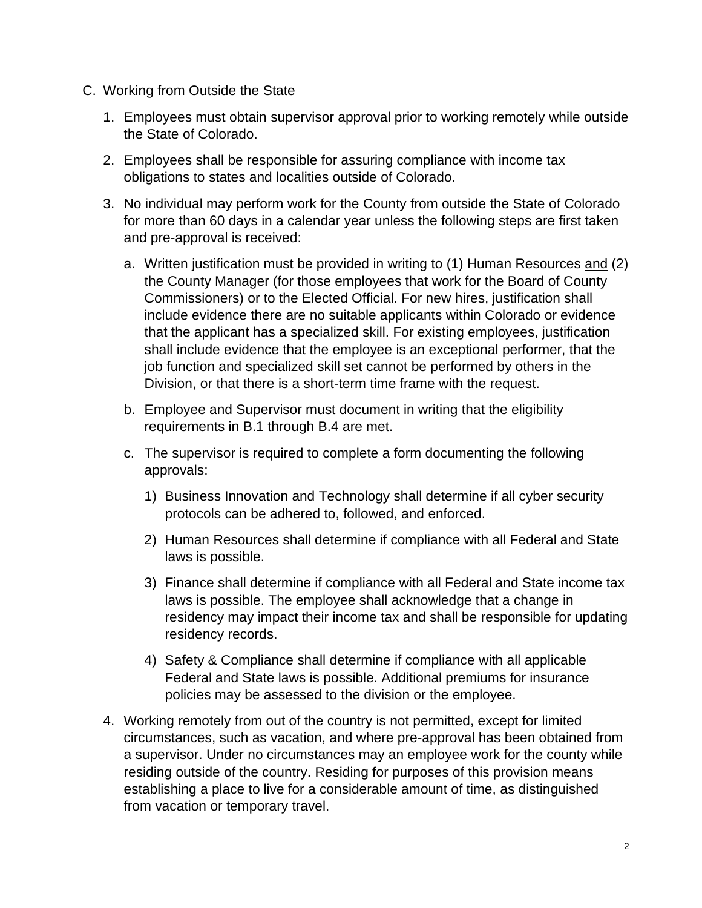- C. Working from Outside the State
	- 1. Employees must obtain supervisor approval prior to working remotely while outside the State of Colorado.
	- 2. Employees shall be responsible for assuring compliance with income tax obligations to states and localities outside of Colorado.
	- 3. No individual may perform work for the County from outside the State of Colorado for more than 60 days in a calendar year unless the following steps are first taken and pre-approval is received:
		- a. Written justification must be provided in writing to (1) Human Resources and (2) the County Manager (for those employees that work for the Board of County Commissioners) or to the Elected Official. For new hires, justification shall include evidence there are no suitable applicants within Colorado or evidence that the applicant has a specialized skill. For existing employees, justification shall include evidence that the employee is an exceptional performer, that the job function and specialized skill set cannot be performed by others in the Division, or that there is a short-term time frame with the request.
		- b. Employee and Supervisor must document in writing that the eligibility requirements in B.1 through B.4 are met.
		- c. The supervisor is required to complete a form documenting the following approvals:
			- 1) Business Innovation and Technology shall determine if all cyber security protocols can be adhered to, followed, and enforced.
			- 2) Human Resources shall determine if compliance with all Federal and State laws is possible.
			- 3) Finance shall determine if compliance with all Federal and State income tax laws is possible. The employee shall acknowledge that a change in residency may impact their income tax and shall be responsible for updating residency records.
			- 4) Safety & Compliance shall determine if compliance with all applicable Federal and State laws is possible. Additional premiums for insurance policies may be assessed to the division or the employee.
	- 4. Working remotely from out of the country is not permitted, except for limited circumstances, such as vacation, and where pre-approval has been obtained from a supervisor. Under no circumstances may an employee work for the county while residing outside of the country. Residing for purposes of this provision means establishing a place to live for a considerable amount of time, as distinguished from vacation or temporary travel.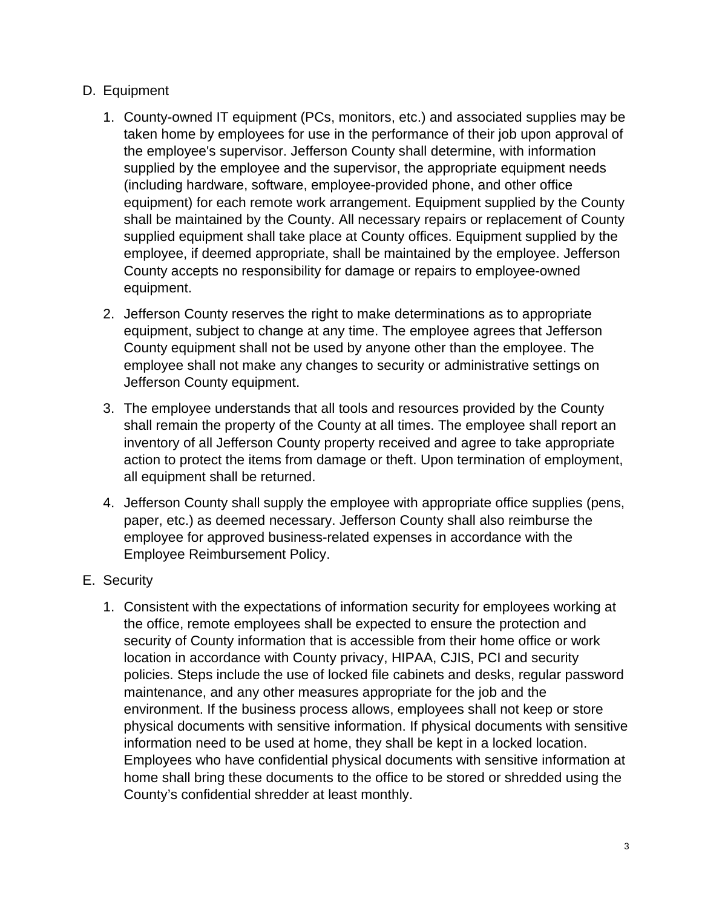### D. Equipment

- 1. County-owned IT equipment (PCs, monitors, etc.) and associated supplies may be taken home by employees for use in the performance of their job upon approval of the employee's supervisor. Jefferson County shall determine, with information supplied by the employee and the supervisor, the appropriate equipment needs (including hardware, software, employee-provided phone, and other office equipment) for each remote work arrangement. Equipment supplied by the County shall be maintained by the County. All necessary repairs or replacement of County supplied equipment shall take place at County offices. Equipment supplied by the employee, if deemed appropriate, shall be maintained by the employee. Jefferson County accepts no responsibility for damage or repairs to employee-owned equipment.
- 2. Jefferson County reserves the right to make determinations as to appropriate equipment, subject to change at any time. The employee agrees that Jefferson County equipment shall not be used by anyone other than the employee. The employee shall not make any changes to security or administrative settings on Jefferson County equipment.
- 3. The employee understands that all tools and resources provided by the County shall remain the property of the County at all times. The employee shall report an inventory of all Jefferson County property received and agree to take appropriate action to protect the items from damage or theft. Upon termination of employment, all equipment shall be returned.
- 4. Jefferson County shall supply the employee with appropriate office supplies (pens, paper, etc.) as deemed necessary. Jefferson County shall also reimburse the employee for approved business-related expenses in accordance with the Employee Reimbursement Policy.
- E. Security
	- 1. Consistent with the expectations of information security for employees working at the office, remote employees shall be expected to ensure the protection and security of County information that is accessible from their home office or work location in accordance with County privacy, HIPAA, CJIS, PCI and security policies. Steps include the use of locked file cabinets and desks, regular password maintenance, and any other measures appropriate for the job and the environment. If the business process allows, employees shall not keep or store physical documents with sensitive information. If physical documents with sensitive information need to be used at home, they shall be kept in a locked location. Employees who have confidential physical documents with sensitive information at home shall bring these documents to the office to be stored or shredded using the County's confidential shredder at least monthly.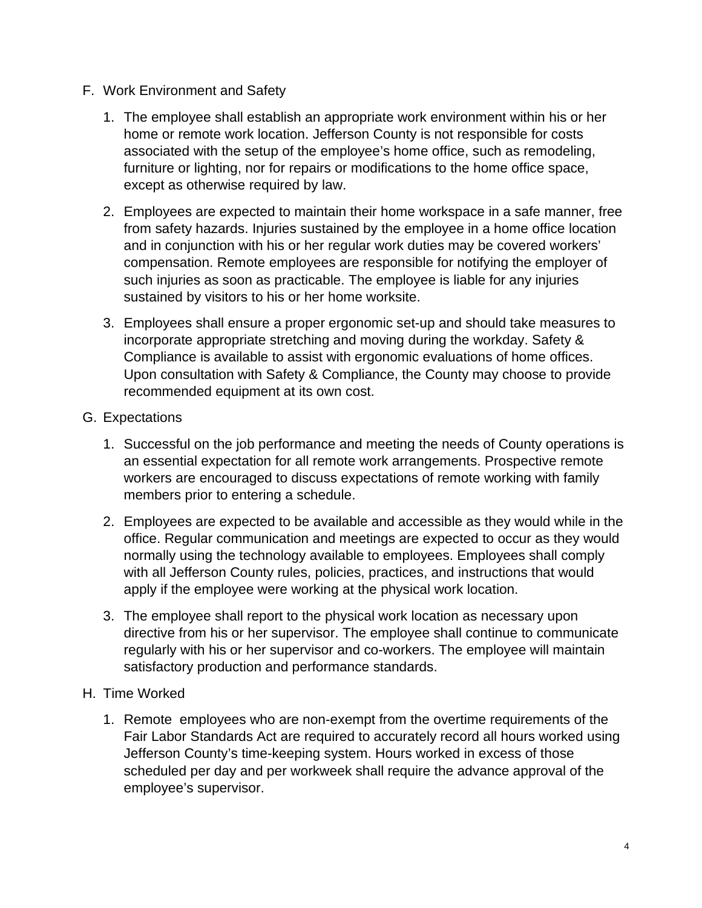- F. Work Environment and Safety
	- 1. The employee shall establish an appropriate work environment within his or her home or remote work location. Jefferson County is not responsible for costs associated with the setup of the employee's home office, such as remodeling, furniture or lighting, nor for repairs or modifications to the home office space, except as otherwise required by law.
	- 2. Employees are expected to maintain their home workspace in a safe manner, free from safety hazards. Injuries sustained by the employee in a home office location and in conjunction with his or her regular work duties may be covered workers' compensation. Remote employees are responsible for notifying the employer of such injuries as soon as practicable. The employee is liable for any injuries sustained by visitors to his or her home worksite.
	- 3. Employees shall ensure a proper ergonomic set-up and should take measures to incorporate appropriate stretching and moving during the workday. Safety & Compliance is available to assist with ergonomic evaluations of home offices. Upon consultation with Safety & Compliance, the County may choose to provide recommended equipment at its own cost.
- G. Expectations
	- 1. Successful on the job performance and meeting the needs of County operations is an essential expectation for all remote work arrangements. Prospective remote workers are encouraged to discuss expectations of remote working with family members prior to entering a schedule.
	- 2. Employees are expected to be available and accessible as they would while in the office. Regular communication and meetings are expected to occur as they would normally using the technology available to employees. Employees shall comply with all Jefferson County rules, policies, practices, and instructions that would apply if the employee were working at the physical work location.
	- 3. The employee shall report to the physical work location as necessary upon directive from his or her supervisor. The employee shall continue to communicate regularly with his or her supervisor and co-workers. The employee will maintain satisfactory production and performance standards.
- H. Time Worked
	- 1. Remote employees who are non-exempt from the overtime requirements of the Fair Labor Standards Act are required to accurately record all hours worked using Jefferson County's time-keeping system. Hours worked in excess of those scheduled per day and per workweek shall require the advance approval of the employee's supervisor.